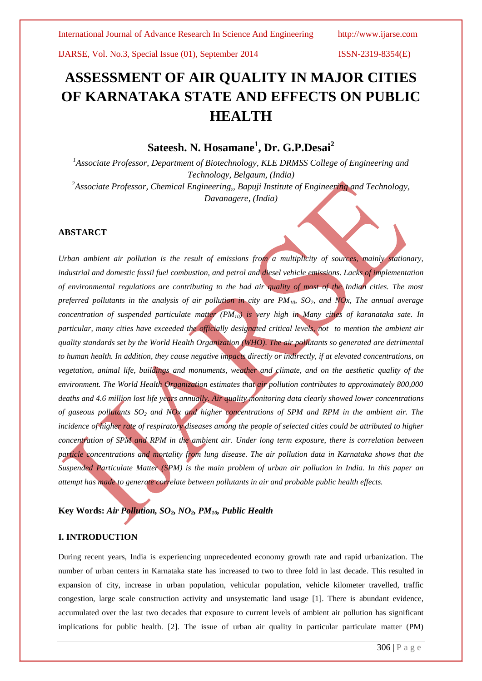# **ASSESSMENT OF AIR QUALITY IN MAJOR CITIES OF KARNATAKA STATE AND EFFECTS ON PUBLIC HEALTH**

# **Sateesh. N. Hosamane<sup>1</sup> , Dr. G.P.Desai<sup>2</sup>**

*<sup>1</sup>Associate Professor, Department of Biotechnology, KLE DRMSS College of Engineering and Technology, Belgaum, (India)* <sup>2</sup>*Associate Professor, Chemical Engineering,, Bapuji Institute of Engineering and Technology, Davanagere, (India)*

#### **ABSTARCT**

*Urban ambient air pollution is the result of emissions from a multiplicity of sources, mainly stationary, industrial and domestic fossil fuel combustion, and petrol and diesel vehicle emissions. Lacks of implementation of environmental regulations are contributing to the bad air quality of most of the Indian cities. The most preferred pollutants in the analysis of air pollution in city are PM10, SO2, and NOx, The annual average concentration of suspended particulate matter (PM10) is very high in Many cities of karanataka sate. In particular, many cities have exceeded the officially designated critical levels, not to mention the ambient air quality standards set by the World Health Organization (WHO). The air pollutants so generated are detrimental* to human health. In addition, they cause negative impacts directly or indirectly, if at elevated concentrations, on *vegetation, animal life, buildings and monuments, weather and climate, and on the aesthetic quality of the environment. The World Health Organization estimates that air pollution contributes to approximately 800,000 deaths and 4.6 million lost life years annually. Air quality monitoring data clearly showed lower concentrations of gaseous pollutants SO<sup>2</sup> and NOx and higher concentrations of SPM and RPM in the ambient air. The incidence of higher rate of respiratory diseases among the people of selected cities could be attributed to higher concentration of SPM and RPM in the ambient air. Under long term exposure, there is correlation between particle concentrations and mortality from lung disease. The air pollution data in Karnataka shows that the Suspended Particulate Matter (SPM) is the main problem of urban air pollution in India. In this paper an attempt has made to generate correlate between pollutants in air and probable public health effects.*

# **Key Words:** *Air Pollution, SO2, NO2, PM10, Public Health*

### **I. INTRODUCTION**

During recent years, India is experiencing unprecedented economy growth rate and rapid urbanization. The number of urban centers in Karnataka state has increased to two to three fold in last decade. This resulted in expansion of city, increase in urban population, vehicular population, vehicle kilometer travelled, traffic congestion, large scale construction activity and unsystematic land usage [1]. There is abundant evidence, accumulated over the last two decades that exposure to current levels of ambient air pollution has significant implications for public health. [2]. The issue of urban air quality in particular particulate matter (PM)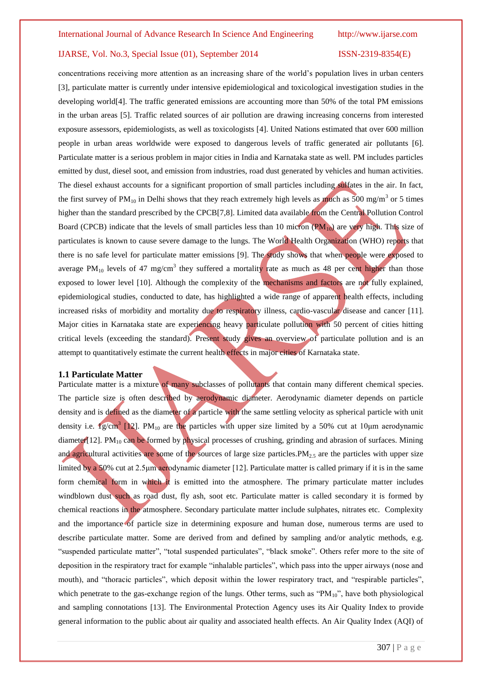concentrations receiving more attention as an increasing share of the world"s population lives in urban centers [3], particulate matter is currently under intensive epidemiological and toxicological investigation studies in the developing world[4]. The traffic generated emissions are accounting more than 50% of the total PM emissions in the urban areas [5]. Traffic related sources of air pollution are drawing increasing concerns from interested exposure assessors, epidemiologists, as well as toxicologists [4]. United Nations estimated that over 600 million people in urban areas worldwide were exposed to dangerous levels of traffic generated air pollutants [6]. Particulate matter is a serious problem in major cities in India and Karnataka state as well. PM includes particles emitted by dust, diesel soot, and emission from industries, road dust generated by vehicles and human activities. The diesel exhaust accounts for a significant proportion of small particles including sulfates in the air. In fact, the first survey of  $PM_{10}$  in Delhi shows that they reach extremely high levels as much as 500 mg/m<sup>3</sup> or 5 times higher than the standard prescribed by the CPCB[7,8]. Limited data available from the Central Pollution Control Board (CPCB) indicate that the levels of small particles less than 10 micron  $(\text{PM}_{10})$  are very high. This size of particulates is known to cause severe damage to the lungs. The World Health Organization (WHO) reports that there is no safe level for particulate matter emissions [9]. The study shows that when people were exposed to average PM<sub>10</sub> levels of 47 mg/cm<sup>3</sup> they suffered a mortality rate as much as 48 per cent higher than those exposed to lower level [10]. Although the complexity of the mechanisms and factors are not fully explained, epidemiological studies, conducted to date, has highlighted a wide range of apparent health effects, including increased risks of morbidity and mortality due to respiratory illness, cardio-vascular disease and cancer [11]. Major cities in Karnataka state are experiencing heavy particulate pollution with 50 percent of cities hitting critical levels (exceeding the standard). Present study gives an overview of particulate pollution and is an attempt to quantitatively estimate the current health effects in major cities of Karnataka state.

#### **1.1 Particulate Matter**

Particulate matter is a mixture of many subclasses of pollutants that contain many different chemical species. The particle size is often described by aerodynamic diameter. Aerodynamic diameter depends on particle density and is defined as the diameter of a particle with the same settling velocity as spherical particle with unit density i.e.  $1g/cm^3$  [12]. PM<sub>10</sub> are the particles with upper size limited by a 50% cut at 10 $\mu$ m aerodynamic diameter [12]. PM<sub>10</sub> can be formed by physical processes of crushing, grinding and abrasion of surfaces. Mining and agricultural activities are some of the sources of large size particles. $PM_{2.5}$  are the particles with upper size limited by a 50% cut at 2.5μm aerodynamic diameter [12]. Particulate matter is called primary if it is in the same form chemical form in which it is emitted into the atmosphere. The primary particulate matter includes windblown dust such as road dust, fly ash, soot etc. Particulate matter is called secondary it is formed by chemical reactions in the atmosphere. Secondary particulate matter include sulphates, nitrates etc. Complexity and the importance of particle size in determining exposure and human dose, numerous terms are used to describe particulate matter. Some are derived from and defined by sampling and/or analytic methods, e.g. "suspended particulate matter", "total suspended particulates", "black smoke". Others refer more to the site of deposition in the respiratory tract for example "inhalable particles", which pass into the upper airways (nose and mouth), and "thoracic particles", which deposit within the lower respiratory tract, and "respirable particles", which penetrate to the gas-exchange region of the lungs. Other terms, such as "PM<sub>10</sub>", have both physiological and sampling connotations [13]. The Environmental Protection Agency uses its [Air Quality Index](http://www.airnow.gov/) to provide general information to the public about air quality and associated health effects. An Air Quality Index (AQI) of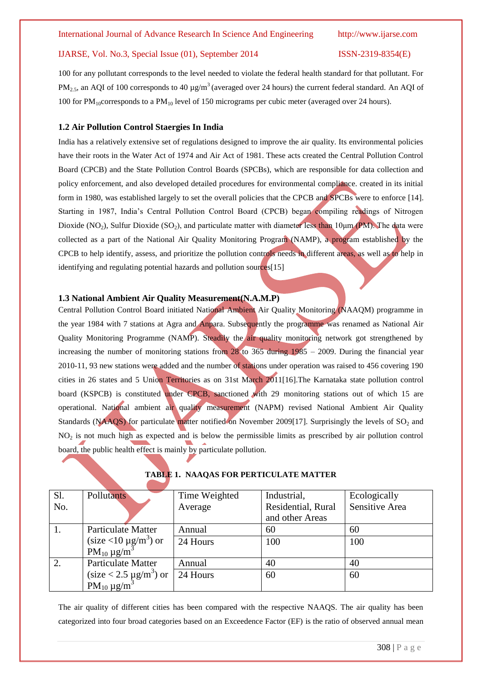100 for any pollutant corresponds to the level needed to violate the federal health standard for that pollutant. For PM<sub>2.5</sub>, an AQI of 100 corresponds to 40  $\mu$ g/m<sup>3</sup> (averaged over 24 hours) the current federal standard. An AQI of 100 for  $PM_{10}$ corresponds to a  $PM_{10}$  level of 150 micrograms per cubic meter (averaged over 24 hours).

#### **1.2 Air Pollution Control Staergies In India**

India has a relatively extensive set of regulations designed to improve the air quality. Its environmental policies have their roots in the Water Act of 1974 and Air Act of 1981. These acts created the Central Pollution Control Board (CPCB) and the State Pollution Control Boards (SPCBs), which are responsible for data collection and policy enforcement, and also developed detailed procedures for environmental compliance. created in its initial form in 1980, was established largely to set the overall policies that the CPCB and SPCBs were to enforce [14]. Starting in 1987, India"s Central Pollution Control Board (CPCB) began compiling readings of Nitrogen Dioxide (NO<sub>2</sub>), Sulfur Dioxide (SO<sub>2</sub>), and particulate matter with diameter less than 10<sub>µm</sub> (PM). The data were collected as a part of the National Air Quality Monitoring Program (NAMP), a program established by the CPCB to help identify, assess, and prioritize the pollution controls needs in different areas, as well as to help in identifying and regulating potential hazards and pollution sources[15]

#### **1.3 National Ambient Air Quality Measurement(N.A.M.P)**

Central Pollution Control Board initiated National Ambient Air Quality Monitoring (NAAQM) programme in the year 1984 with 7 stations at Agra and Anpara. Subsequently the programme was renamed as National Air Quality Monitoring Programme (NAMP). Steadily the air quality monitoring network got strengthened by increasing the number of monitoring stations from  $28 \times 365$  during 1985 – 2009. During the financial year 2010-11, 93 new stations were added and the number of stations under operation was raised to 456 covering 190 cities in 26 states and 5 Union Territories as on 31st March 2011[16].The Karnataka state pollution control board (KSPCB) is constituted under CPCB, sanctioned with 29 monitoring stations out of which 15 are operational. National ambient air quality measurement (NAPM) revised National Ambient Air Quality Standards (NAAQS) for particulate matter notified on November 2009[17]. Surprisingly the levels of  $SO<sub>2</sub>$  and  $NO<sub>2</sub>$  is not much high as expected and is below the permissible limits as prescribed by air pollution control board, the public health effect is mainly by particulate pollution.

| Sl. | Pollutants                                                                         | Time Weighted | Industrial,        | Ecologically   |
|-----|------------------------------------------------------------------------------------|---------------|--------------------|----------------|
| No. |                                                                                    | Average       | Residential, Rural | Sensitive Area |
|     |                                                                                    |               | and other Areas    |                |
| 1.  | Particulate Matter                                                                 | Annual        | 60                 | 60             |
|     | (size <10 $\mu$ g/m <sup>3</sup> ) or<br>PM <sub>10</sub> $\mu$ g/m <sup>3</sup>   | 24 Hours      | 100                | 100            |
|     |                                                                                    |               |                    |                |
| 2.  | <b>Particulate Matter</b>                                                          | Annual        | 40                 | 40             |
|     | (size < 2.5 $\mu$ g/m <sup>3</sup> ) or<br>PM <sub>10</sub> $\mu$ g/m <sup>3</sup> | 24 Hours      | 60                 | 60             |
|     |                                                                                    |               |                    |                |

### **TABLE 1. NAAQAS FOR PERTICULATE MATTER**

The air quality of different cities has been compared with the respective NAAQS. The air quality has been categorized into four broad categories based on an Exceedence Factor (EF) is the ratio of observed annual mean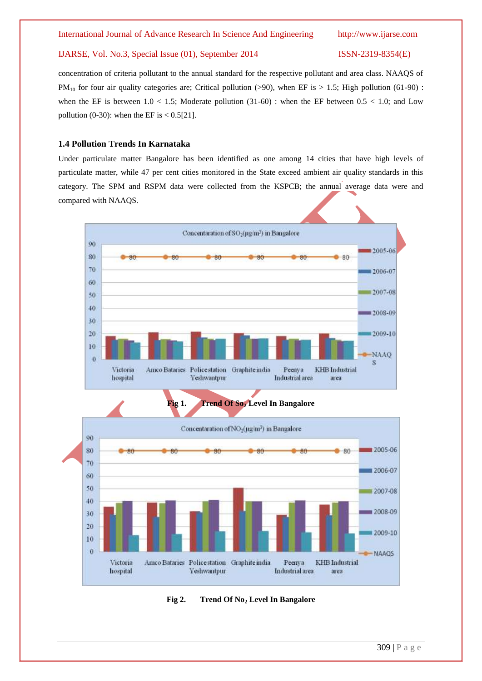concentration of criteria pollutant to the annual standard for the respective pollutant and area class. NAAQS of  $PM_{10}$  for four air quality categories are; Critical pollution (>90), when EF is > 1.5; High pollution (61-90) : when the EF is between  $1.0 < 1.5$ ; Moderate pollution (31-60) : when the EF between  $0.5 < 1.0$ ; and Low pollution (0-30): when the EF is  $< 0.5[21]$ .

#### **1.4 Pollution Trends In Karnataka**

Under particulate matter Bangalore has been identified as one among 14 cities that have high levels of particulate matter, while 47 per cent cities monitored in the State exceed ambient air quality standards in this category. The SPM and RSPM data were collected from the KSPCB; the annual average data were and compared with NAAQS.



**Fig 2. Trend Of No<sup>2</sup> Level In Bangalore**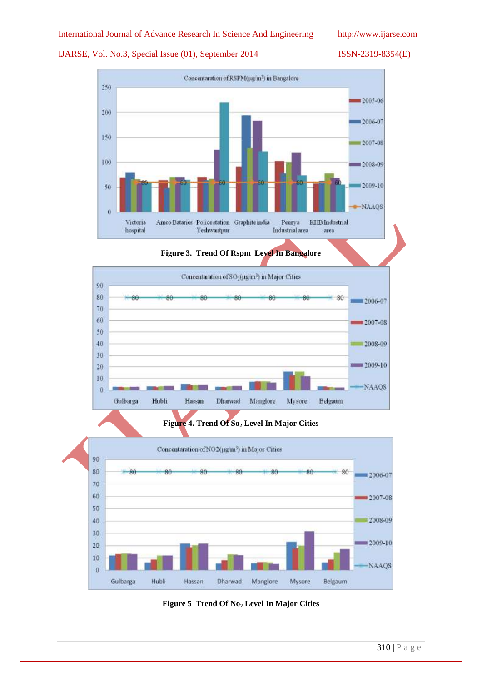### IJARSE, Vol. No.3, Special Issue (01), September 2014 ISSN-2319-8354(E)







### **Figure 4. Trend Of So<sup>2</sup> Level In Major Cities**



**Figure 5 Trend Of No<sup>2</sup> Level In Major Cities**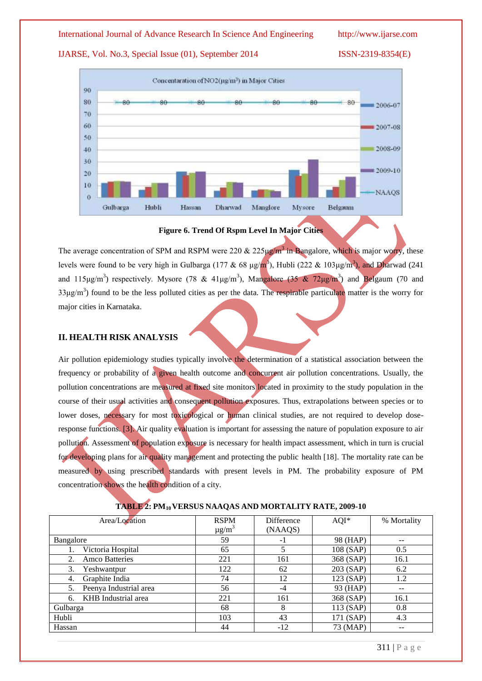### IJARSE, Vol. No.3, Special Issue (01), September 2014 ISSN-2319-8354(E)



#### **Figure 6. Trend Of Rspm Level In Major Cities**

The average concentration of SPM and RSPM were 220  $& 225 \mu g/m^3$  in Bangalore, which is major worry, these levels were found to be very high in Gulbarga (177 & 68  $\mu$ g/m<sup>3</sup>), Hubli (222 & 103 $\mu$ g/m<sup>3</sup>), and Dharwad (241 and 115 $\mu$ g/m<sup>3</sup>) respectively. Mysore (78 & 41 $\mu$ g/m<sup>3</sup>), Mangalore (35 & 72 $\mu$ g/m<sup>3</sup>) and Belgaum (70 and 33μg/m<sup>3</sup>) found to be the less polluted cities as per the data. The respirable particulate matter is the worry for major cities in Karnataka.

### **II. HEALTH RISK ANALYSIS**

Air pollution epidemiology studies typically involve the determination of a statistical association between the frequency or probability of a given health outcome and concurrent air pollution concentrations. Usually, the pollution concentrations are measured at fixed site monitors located in proximity to the study population in the course of their usual activities and consequent pollution exposures. Thus, extrapolations between species or to lower doses, necessary for most toxicological or human clinical studies, are not required to develop doseresponse functions. [3]. Air quality evaluation is important for assessing the nature of population exposure to air pollution. Assessment of population exposure is necessary for health impact assessment, which in turn is crucial for developing plans for air quality management and protecting the public health [18]. The mortality rate can be measured by using prescribed standards with present levels in PM. The probability exposure of PM concentration shows the health condition of a city.

| Area/Location             | <b>RSPM</b>            | Difference | $AQI^*$     | % Mortality |
|---------------------------|------------------------|------------|-------------|-------------|
|                           | $\mu$ g/m <sup>3</sup> | (NAAQS)    |             |             |
| Bangalore                 | 59                     | - 1        | 98 (HAP)    | --          |
| Victoria Hospital         | 65                     |            | 108 (SAP)   | 0.5         |
| <b>Amco Batteries</b>     | 221                    | 161        | 368 (SAP)   | 16.1        |
| 3.<br>Yeshwantpur         | 122                    | 62         | $203$ (SAP) | 6.2         |
| Graphite India<br>4.      | 74                     | 12         | 123 (SAP)   | 1.2         |
| Peenya Industrial area    | 56                     | -4         | 93 (HAP)    | $- -$       |
| KHB Industrial area<br>6. | 221                    | 161        | 368 (SAP)   | 16.1        |
| Gulbarga                  | 68                     | 8          | 113(SAP)    | 0.8         |
| Hubli                     | 103                    | 43         | 171 (SAP)   | 4.3         |
| Hassan                    | 44                     | $-12$      | 73 (MAP)    | --          |

### **TABLE 2: PM10VERSUS NAAQAS AND MORTALITY RATE, 2009-10**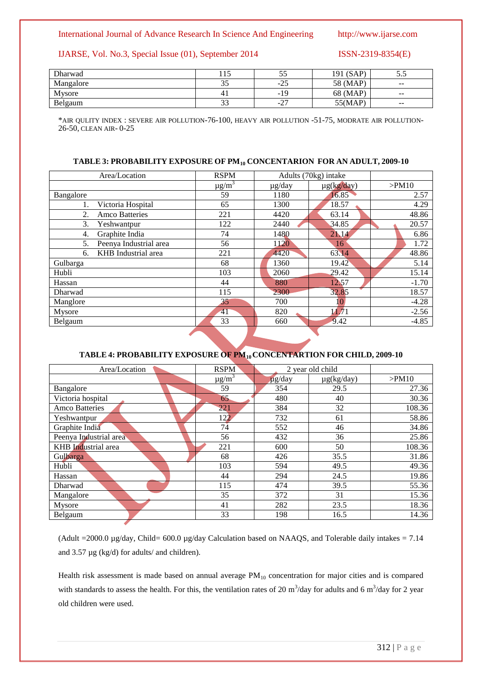#### IJARSE, Vol. No.3, Special Issue (01), September 2014 ISSN-2319-8354(E)

| Dharwad   | 1 <sub>E</sub><br>1 I J | ັບ               | (SAP)<br>191 | ັ∙∙                      |
|-----------|-------------------------|------------------|--------------|--------------------------|
| Mangalore | ົ<br>33                 | つく<br>ر 2–       | 58 (MAP)     | $\sim$ $\sim$            |
| Mysore    | 4 <sub>1</sub>          | -19              | 68 (MAP)     | $\sim$ $\sim$            |
| Belgaum   | $\mathcal{L}$<br>دد     | $\sim$<br>$-L$ , | 55(MAP)      | $\overline{\phantom{m}}$ |

\*AIR QULITY INDEX : SEVERE AIR POLLUTION-76-100, HEAVY AIR POLLUTION -51-75, MODRATE AIR POLLUTION-26-50, CLEAN AIR- 0-25

#### **TABLE 3: PROBABILITY EXPOSURE OF PM<sup>10</sup> CONCENTARION FOR AN ADULT, 2009-10**

| Area/Location                | <b>RSPM</b>            | Adults (70kg) intake |                 |         |
|------------------------------|------------------------|----------------------|-----------------|---------|
|                              | $\mu$ g/m <sup>3</sup> | $\mu$ g/day          | $\mu$ g(kg/day) | >PM10   |
| Bangalore                    | 59                     | 1180                 | 16.85           | 2.57    |
| Victoria Hospital            | 65                     | 1300                 | 18.57           | 4.29    |
| 2.<br><b>Amco Batteries</b>  | 221                    | 4420                 | 63.14           | 48.86   |
| 3.<br>Yeshwantpur            | 122                    | 2440                 | 34.85           | 20.57   |
| Graphite India<br>4.         | 74                     | 1480                 | 21.14           | 6.86    |
| Peenya Industrial area<br>5. | 56                     | 1120                 | 16              | 1.72    |
| KHB Industrial area<br>б.    | 221                    | 4420                 | 63.14           | 48.86   |
| Gulbarga                     | 68                     | 1360                 | 19.42           | 5.14    |
| Hubli                        | 103                    | 2060                 | 29.42           | 15.14   |
| Hassan                       | 44                     | 880                  | 12.57           | $-1.70$ |
| Dharwad                      | 115                    | 2300                 | 32.85           | 18.57   |
| Manglore                     | 35                     | 700                  | 10              | $-4.28$ |
| Mysore                       | 41                     | 820                  | 11.71           | $-2.56$ |
| Belgaum                      | 33                     | 660                  | 9.42            | $-4.85$ |
|                              |                        |                      |                 |         |

### **TABLE 4: PROBABILITY EXPOSURE OF PM10CONCENTARTION FOR CHILD, 2009-10**

| Area/Location          | <b>RSPM</b>            | 2 year old child |                 |        |
|------------------------|------------------------|------------------|-----------------|--------|
|                        | $\mu$ g/m <sup>3</sup> | µg/day           | $\mu$ g(kg/day) | >PM10  |
| Bangalore              | 59                     | 354              | 29.5            | 27.36  |
| Victoria hospital      | 65                     | 480              | 40              | 30.36  |
| <b>Amco Batteries</b>  | 221                    | 384              | 32              | 108.36 |
| Yeshwantpur            | 122                    | 732              | 61              | 58.86  |
| Graphite India         | 74                     | 552              | 46              | 34.86  |
| Peenya Industrial area | 56                     | 432              | 36              | 25.86  |
| KHB Industrial area    | 221                    | 600              | 50              | 108.36 |
| Gulbarga               | 68                     | 426              | 35.5            | 31.86  |
| Hubli                  | 103                    | 594              | 49.5            | 49.36  |
| Hassan                 | 44                     | 294              | 24.5            | 19.86  |
| Dharwad                | 115                    | 474              | 39.5            | 55.36  |
| Mangalore              | 35                     | 372              | 31              | 15.36  |
| Mysore                 | 41                     | 282              | 23.5            | 18.36  |
| Belgaum                | 33                     | 198              | 16.5            | 14.36  |

(Adult = 2000.0 µg/day, Child= 600.0 µg/day Calculation based on NAAQS, and Tolerable daily intakes = 7.14 and 3.57 µg (kg/d) for adults/ and children).

Health risk assessment is made based on annual average  $PM_{10}$  concentration for major cities and is compared with standards to assess the health. For this, the ventilation rates of 20  $\text{m}^3$ /day for adults and 6  $\text{m}^3$ /day for 2 year old children were used.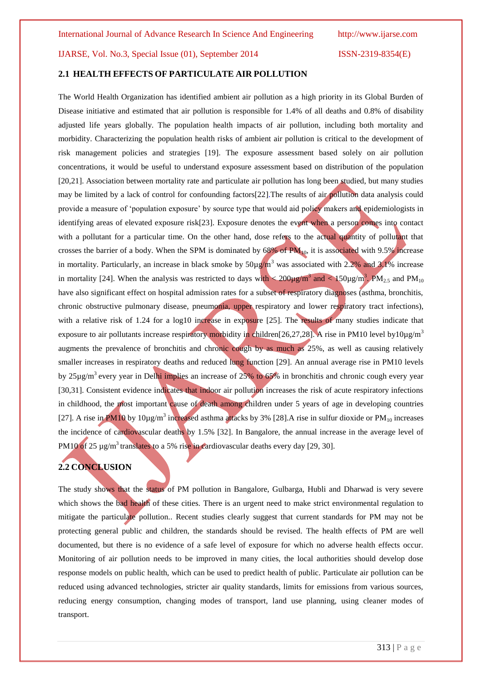# **2.1 HEALTH EFFECTS OF PARTICULATE AIR POLLUTION**

The World Health Organization has identified ambient air pollution as a high priority in its Global Burden of Disease initiative and estimated that air pollution is responsible for 1.4% of all deaths and 0.8% of disability adjusted life years globally. The population health impacts of air pollution, including both mortality and morbidity. Characterizing the population health risks of ambient air pollution is critical to the development of risk management policies and strategies [19]. The exposure assessment based solely on air pollution concentrations, it would be useful to understand exposure assessment based on distribution of the population [20,21]. Association between mortality rate and particulate air pollution has long been studied, but many studies may be limited by a lack of control for confounding factors[22].The results of air pollution data analysis could provide a measure of "population exposure" by source type that would aid policy makers and epidemiologists in identifying areas of elevated exposure risk[23]. Exposure denotes the event when a person comes into contact with a pollutant for a particular time. On the other hand, dose refers to the actual quantity of pollutant that crosses the barrier of a body. When the SPM is dominated by  $68\%$  of PM<sub>10</sub>, it is associated with 9.5% increase in mortality. Particularly, an increase in black smoke by  $50\mu\text{g/m}^3$  was associated with 2.2% and 3.1% increase in mortality [24]. When the analysis was restricted to days with  $\leq 200 \mu g/m^3$  and  $\leq 150 \mu g/m^3$ , PM<sub>2.5</sub> and PM<sub>10</sub> have also significant effect on hospital admission rates for a subset of respiratory diagnoses (asthma, bronchitis, chronic obstructive pulmonary disease, pneumonia, upper respiratory and lower respiratory tract infections), with a relative risk of 1.24 for a log10 increase in exposure [25]. The results of many studies indicate that exposure to air pollutants increase respiratory morbidity in children[26,27,28]. A rise in PM10 level by10 $\mu$ g/m<sup>3</sup> augments the prevalence of bronchitis and chronic cough by as much as 25%, as well as causing relatively smaller increases in respiratory deaths and reduced lung function [29]. An annual average rise in PM10 levels by  $25\mu g/m^3$  every year in Delhi implies an increase of  $25\%$  to  $65\%$  in bronchitis and chronic cough every year [30,31]. Consistent evidence indicates that indoor air pollution increases the risk of acute respiratory infections in childhood, the most important cause of death among children under 5 years of age in developing countries [27]. A rise in PM10 by 10 $\mu$ g/m<sup>3</sup> increased asthma attacks by 3% [28]. A rise in sulfur dioxide or PM<sub>10</sub> increases the incidence of cardiovascular deaths by 1.5% [32]. In Bangalore, the annual increase in the average level of PM10 of 25 µg/m<sup>3</sup> translates to a 5% rise in cardiovascular deaths every day [29, 30].

#### **2.2 CONCLUSION**

The study shows that the status of PM pollution in Bangalore, Gulbarga, Hubli and Dharwad is very severe which shows the bad health of these cities. There is an urgent need to make strict environmental regulation to mitigate the particulate pollution.. Recent studies clearly suggest that current standards for PM may not be protecting general public and children, the standards should be revised. The health effects of PM are well documented, but there is no evidence of a safe level of exposure for which no adverse health effects occur. Monitoring of air pollution needs to be improved in many cities, the local authorities should develop dose response models on public health, which can be used to predict health of public. Particulate air pollution can be reduced using advanced technologies, stricter air quality standards, limits for emissions from various sources, reducing energy consumption, changing modes of transport, land use planning, using cleaner modes of transport.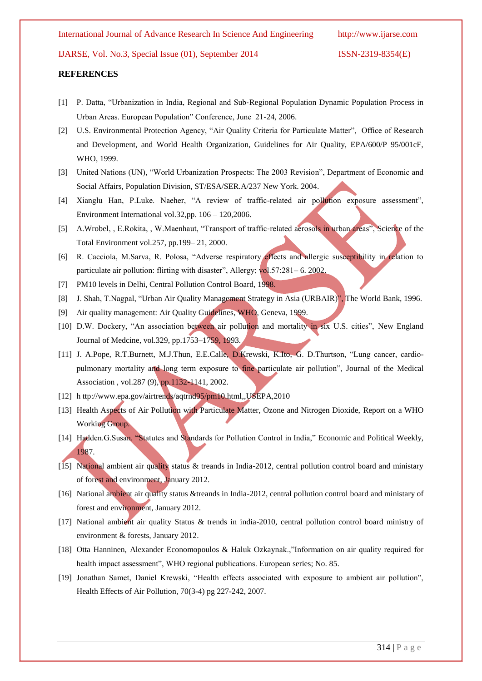#### **REFERENCES**

- [1] P. Datta, "Urbanization in India, Regional and Sub‐Regional Population Dynamic Population Process in Urban Areas. European Population" Conference, June 21‐24, 2006.
- [2] U.S. Environmental Protection Agency, "Air Quality Criteria for Particulate Matter", Office of Research and Development, and World Health Organization, Guidelines for Air Quality, EPA/600/P 95/001cF, WHO, 1999.
- [3] United Nations (UN), "World Urbanization Prospects: The 2003 Revision", Department of Economic and Social Affairs, Population Division, ST/ESA/SER.A/237 New York. 2004.
- [4] Xianglu Han, P.Luke. Naeher, "A review of traffic-related air pollution exposure assessment", Environment International vol.32,pp. 106 – 120,2006.
- [5] A.Wrobel, , E.Rokita, , W.Maenhaut, "Transport of traffic-related aerosols in urban areas", Science of the Total Environment vol.257, pp.199– 21, 2000.
- [6] R. Cacciola, M.Sarva, R. Polosa, "Adverse respiratory effects and allergic susceptibility in relation to particulate air pollution: flirting with disaster", Allergy; vol.57:281– 6. 2002.
- [7] PM10 levels in Delhi, Central Pollution Control Board, 1998.
- [8] J. Shah, T.Nagpal, "Urban Air Quality Management Strategy in Asia (URBAIR)", The World Bank, 1996.
- [9] Air quality management: Air Quality Guidelines, WHO, Geneva, 1999.
- [10] D.W. Dockery, "An association between air pollution and mortality in six U.S. cities", New England Journal of Medcine, vol.329, pp.1753–1759, 1993.
- [11] J. A.Pope, R.T.Burnett, M.J.Thun, E.E.Calle, D.Krewski, K.Ito, G. D.Thurtson, "Lung cancer, cardiopulmonary mortality and long term exposure to fine particulate air pollution", Journal of the Medical Association , vol.287 (9), pp.1132-1141, 2002.
- [12] [h ttp://www.epa.gov/airtrends/aqtrnd95/pm10.html,](http://www.epa.gov/airtrends/aqtrnd95/pm10.html),USEPA,2010
- [13] Health Aspects of Air Pollution with Particulate Matter, Ozone and Nitrogen Dioxide, Report on a WHO Working Group.
- [14] Hadden.G.Susan. "Statutes and Standards for Pollution Control in India," Economic and Political Weekly, 1987.
- [15] National ambient air quality status & treands in India-2012, central pollution control board and ministary of forest and environment, January 2012.
- [16] National ambient air quality status &treands in India-2012, central pollution control board and ministary of forest and environment, January 2012.
- [17] National ambient air quality Status & trends in india-2010, central pollution control board ministry of environment & forests, January 2012.
- [18] Otta Hanninen, Alexander Economopoulos & Haluk Ozkaynak.,"Information on air quality required for health impact assessment", WHO regional publications. European series; No. 85.
- [19] Jonathan Samet, Daniel Krewski, "Health effects associated with exposure to ambient air pollution", Health Effects of Air Pollution, 70(3-4) pg 227-242, 2007.